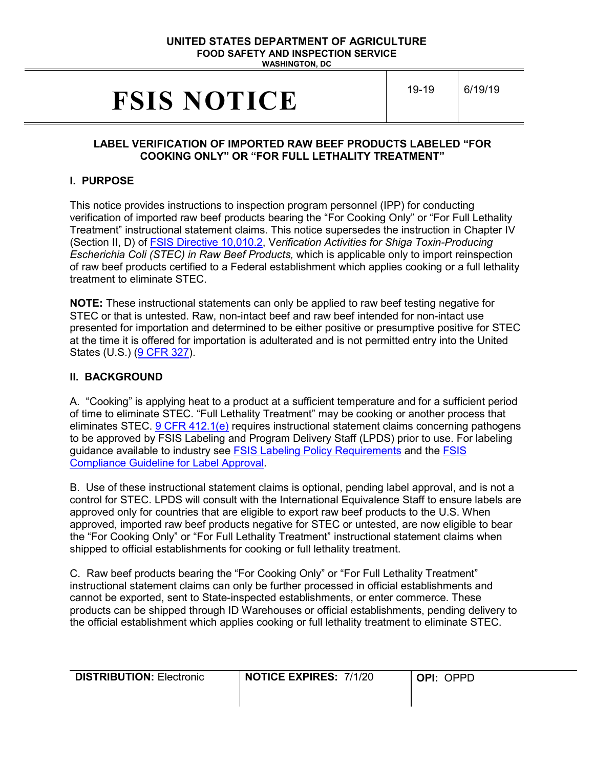#### **UNITED STATES DEPARTMENT OF AGRICULTURE FOOD SAFETY AND INSPECTION SERVICE WASHINGTON, DC**

# **FSIS NOTICE** 19-19 6/19/19

### **LABEL VERIFICATION OF IMPORTED RAW BEEF PRODUCTS LABELED "FOR COOKING ONLY" OR "FOR FULL LETHALITY TREATMENT"**

# **I. PURPOSE**

This notice provides instructions to inspection program personnel (IPP) for conducting verification of imported raw beef products bearing the "For Cooking Only" or "For Full Lethality Treatment" instructional statement claims. This notice supersedes the instruction in Chapter IV (Section II, D) of [FSIS Directive 10,010.2,](https://www.fsis.usda.gov/wps/wcm/connect/01356525-06b7-4f20-af3a-037bf24dc16e/10010.2.pdf?MOD=AJPERES) V*erification Activities for Shiga Toxin-Producing Escherichia Coli (STEC) in Raw Beef Products,* which is applicable only to import reinspection of raw beef products certified to a Federal establishment which applies cooking or a full lethality treatment to eliminate STEC.

**NOTE:** These instructional statements can only be applied to raw beef testing negative for STEC or that is untested. Raw, non-intact beef and raw beef intended for non-intact use presented for importation and determined to be either positive or presumptive positive for STEC at the time it is offered for importation is adulterated and is not permitted entry into the United States (U.S.) [\(9 CFR 327\)](https://www.gpo.gov/fdsys/pkg/CFR-2012-title9-vol2/pdf/CFR-2012-title9-vol2-part327.pdf).

#### **II. BACKGROUND**

A. "Cooking" is applying heat to a product at a sufficient temperature and for a sufficient period of time to eliminate STEC. "Full Lethality Treatment" may be cooking or another process that eliminates STEC. [9 CFR 412.1\(e\)](https://www.gpo.gov/fdsys/pkg/CFR-2016-title9-vol2/pdf/CFR-2016-title9-vol2-sec412-1.pdf) requires instructional statement claims concerning pathogens to be approved by FSIS Labeling and Program Delivery Staff (LPDS) prior to use. For labeling guidance available to industry see [FSIS Labeling Policy Requirements](https://www.fsis.usda.gov/wps/portal/fsis/topics/regulatory-compliance/labeling) and the [FSIS](https://www.fsis.usda.gov/wps/wcm/connect/bf170761-33e3-4a2d-8f86-940c2698e2c5/Label-Approval-Guide.pdf?MOD=AJPERES)  [Compliance Guideline for Label Approval.](https://www.fsis.usda.gov/wps/wcm/connect/bf170761-33e3-4a2d-8f86-940c2698e2c5/Label-Approval-Guide.pdf?MOD=AJPERES)

B. Use of these instructional statement claims is optional, pending label approval, and is not a control for STEC. LPDS will consult with the International Equivalence Staff to ensure labels are approved only for countries that are eligible to export raw beef products to the U.S. When approved, imported raw beef products negative for STEC or untested, are now eligible to bear the "For Cooking Only" or "For Full Lethality Treatment" instructional statement claims when shipped to official establishments for cooking or full lethality treatment.

C. Raw beef products bearing the "For Cooking Only" or "For Full Lethality Treatment" instructional statement claims can only be further processed in official establishments and cannot be exported, sent to State-inspected establishments, or enter commerce. These products can be shipped through ID Warehouses or official establishments, pending delivery to the official establishment which applies cooking or full lethality treatment to eliminate STEC.

| <b>DISTRIBUTION: Electronic</b> | <b>NOTICE EXPIRES: 7/1/20</b> | OPPD<br>OPI: |
|---------------------------------|-------------------------------|--------------|
|                                 |                               |              |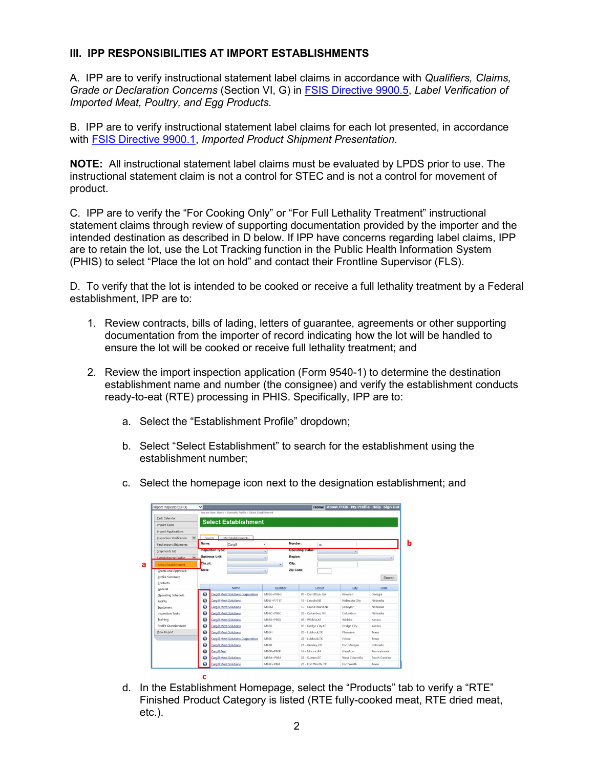# **III. IPP RESPONSIBILITIES AT IMPORT ESTABLISHMENTS**

A. IPP are to verify instructional statement label claims in accordance with *Qualifiers, Claims, Grade or Declaration Concerns* (Section VI, G) in [FSIS Directive 9900.5,](https://www.fsis.usda.gov/wps/wcm/connect/0955b514-551f-4373-ab17-bd72e9993f7a/9900.5.pdf?MOD=AJPERES) *Label Verification of Imported Meat, Poultry, and Egg Products*.

B. IPP are to verify instructional statement label claims for each lot presented, in accordance with [FSIS Directive 9900.1,](https://www.fsis.usda.gov/wps/wcm/connect/1cde5385-daa2-40da-9e3d-c7206d17fa29/9900.1.pdf?MOD=AJPERES) *Imported Product Shipment Presentation*.

**NOTE:** All instructional statement label claims must be evaluated by LPDS prior to use. The instructional statement claim is not a control for STEC and is not a control for movement of product.

C. IPP are to verify the "For Cooking Only" or "For Full Lethality Treatment" instructional statement claims through review of supporting documentation provided by the importer and the intended destination as described in D below. If IPP have concerns regarding label claims, IPP are to retain the lot, use the Lot Tracking function in the Public Health Information System (PHIS) to select "Place the lot on hold" and contact their Frontline Supervisor (FLS).

D. To verify that the lot is intended to be cooked or receive a full lethality treatment by a Federal establishment, IPP are to:

- 1. Review contracts, bills of lading, letters of guarantee, agreements or other supporting documentation from the importer of record indicating how the lot will be handled to ensure the lot will be cooked or receive full lethality treatment; and
- 2. Review the import inspection application (Form 9540-1) to determine the destination establishment name and number (the consignee) and verify the establishment conducts ready-to-eat (RTE) processing in PHIS. Specifically, IPP are to:
	- a. Select the "Establishment Profile" dropdown;
	- b. Select "Select Establishment" to search for the establishment using the establishment number;

| Import Inspector(OFO)                                    | $\checkmark$ |                               |                                                              |              |           |                          | Home    | About PHIS My Profile Help Sign Out |                |
|----------------------------------------------------------|--------------|-------------------------------|--------------------------------------------------------------|--------------|-----------|--------------------------|---------|-------------------------------------|----------------|
|                                                          |              |                               | You are here: Home > Domestic Profile > Select Establishment |              |           |                          |         |                                     |                |
| <b>Task Calendar</b>                                     |              |                               | <b>Select Establishment</b>                                  |              |           |                          |         |                                     |                |
| <b>Import Tasks</b>                                      |              |                               |                                                              |              |           |                          |         |                                     |                |
| <b>Import Applications</b>                               |              |                               |                                                              |              |           |                          |         |                                     |                |
| $\overline{\mathbf{v}}$<br>Inspection Verification       |              | Search                        | My Establishments                                            |              |           |                          |         |                                     |                |
| <b>Eind Import Shipments</b>                             | Name:        |                               | Cargill                                                      | $\times$     | Number:   |                          | 86      |                                     |                |
| Shipments list                                           |              | <b>Inspection Type:</b>       |                                                              | ٠            |           | <b>Operating Status:</b> |         | ٠                                   |                |
| $\overline{\phantom{a}}$<br><b>Establishment Profile</b> |              | <b>Business Unit:</b>         |                                                              | ٠            | Region:   |                          |         |                                     |                |
| Select Establishment                                     | Circuit:     |                               |                                                              | ٠            | City:     |                          |         |                                     |                |
| Grants and Approvals                                     | State:       |                               |                                                              | ٠            | Zip Code: |                          |         |                                     |                |
| Profile Summary                                          |              |                               |                                                              |              |           |                          |         |                                     | Search         |
| Contacts                                                 |              |                               |                                                              |              |           |                          |         |                                     |                |
| General                                                  |              |                               | Name                                                         | Number       |           |                          | Circuit | City                                | State          |
| Operating Schedule                                       | $\bullet$    |                               | <b>Cargill Meat Solutions Corporation</b>                    | M86G+P86G    |           | 05 - Carrollton, GA      |         | Newnan                              | Georgia        |
|                                                          | $\bullet$    | <b>Cargill Meat Solutions</b> |                                                              | M86J+P7117   |           | 16 - Lincoln.NE          |         | Nebraska City                       | Nebraska       |
| Facility                                                 |              |                               | <b>Cargill Meat Solutions</b>                                | MR6M         |           | 12 - Grand Island.NE     |         | Schuyler                            | Nebraska       |
| Equipment                                                | $\bullet$    |                               |                                                              |              |           |                          |         |                                     |                |
| Inspection Tasks                                         | $\bullet$    |                               | <b>Cargill Meat Solutions</b>                                | M86C+P86C    |           | 28 - Columbus, NE        |         | Columbus                            | Nebraska       |
| Training                                                 | $\bullet$    | <b>Cargill Meat Solutions</b> |                                                              | M86X+P86X    |           | 09 - Wichita.KS          |         | Wichita                             | Kansas         |
| Profile Questionnaire                                    | $\bullet$    | <b>Cargill Meat Solutions</b> |                                                              | <b>M86K</b>  |           | 03 - Dodge City, KS      |         | Dodge City                          | Kansas         |
| View Report                                              | $\bullet$    | <b>Cargill Meat Solutions</b> |                                                              | <b>M86H</b>  |           | 28 - Lubbock.TX          |         | Plainview                           | Texas          |
|                                                          | $\bullet$    |                               | <b>Cargill Meat Solutions Corporation</b>                    | M86E         |           | 28 - Lubbock.TX          |         | Friona                              | Texas          |
|                                                          | $\bullet$    | <b>Cargill Meat Solutions</b> |                                                              | <b>M86R</b>  |           | 21 - Greeley.CO          |         | Fort Morgan                         | Colorado       |
|                                                          | $\bullet$    | <b>Cargill Beef</b>           |                                                              | $MRGB + PBB$ |           | 14 - Moosic.PA           |         | Hazelton                            | Pennsylvania   |
|                                                          | G            | <b>Cargill Meat Solutions</b> |                                                              | M86A+P86A    |           | 22 - Sumter.SC           |         | West Columbia                       | South Carolina |

c. Select the homepage icon next to the designation establishment; and

d. In the Establishment Homepage, select the "Products" tab to verify a "RTE" Finished Product Category is listed (RTE fully-cooked meat, RTE dried meat, etc.).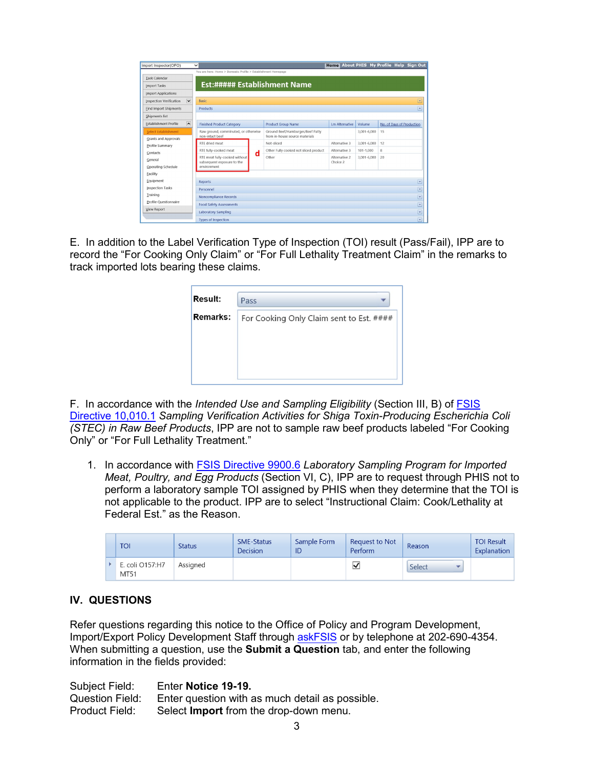| Import Inspector(OFO)                                    | $\checkmark$                                                   |                         |                                                                     |                          |                 | Home About PHIS My Profile Help Sign Out |  |  |  |  |
|----------------------------------------------------------|----------------------------------------------------------------|-------------------------|---------------------------------------------------------------------|--------------------------|-----------------|------------------------------------------|--|--|--|--|
|                                                          | You are here: Home > Domestic Profile > Establishment Homepage |                         |                                                                     |                          |                 |                                          |  |  |  |  |
| <b>Task Calendar</b>                                     |                                                                |                         |                                                                     |                          |                 |                                          |  |  |  |  |
| <b>Import Tasks</b>                                      | Est:##### Establishment Name                                   |                         |                                                                     |                          |                 |                                          |  |  |  |  |
| <b>Import Applications</b>                               |                                                                |                         |                                                                     |                          |                 |                                          |  |  |  |  |
| $\overline{\mathbf{v}}$<br>Inspection Verification       | Basic                                                          |                         |                                                                     | $\overline{\phantom{a}}$ |                 |                                          |  |  |  |  |
| <b>Find Import Shipments</b>                             | Products                                                       | $\Box$                  |                                                                     |                          |                 |                                          |  |  |  |  |
| Shipments list                                           |                                                                |                         |                                                                     |                          |                 |                                          |  |  |  |  |
| $\overline{\phantom{a}}$<br><b>Establishment Profile</b> | <b>Finished Product Category</b>                               |                         | <b>Product Group Name</b>                                           | <b>Lm Alternative</b>    | Volume          | No. of Days of Production                |  |  |  |  |
| <b>Select Establishment</b>                              | Raw ground, comminuted, or otherwise<br>non-intact beef        |                         | Ground Beef/Hamburger/Beef Patty<br>from in-house source materials. |                          | $3,001 - 6,000$ | 15                                       |  |  |  |  |
| <b>Grants and Approvals</b><br>Profile Summary           | RTE dried meat                                                 |                         | Not-sliced                                                          | Alternative 3            | $3.001 - 6.000$ | 12                                       |  |  |  |  |
| Contacts                                                 | RTE fully-cooked meat                                          | d                       | Other Fully cooked not sliced product                               | Alternative 3            | $101 - 1,000$   | 8                                        |  |  |  |  |
| General                                                  | RTE meat fully-cooked without                                  |                         | Other                                                               | Alternative 2            | 3,001-6,000     | 20                                       |  |  |  |  |
| Operating Schedule                                       | subsequent exposure to the<br>environment                      |                         |                                                                     | Choice 2                 |                 |                                          |  |  |  |  |
| <b>Eacility</b>                                          |                                                                |                         |                                                                     |                          |                 |                                          |  |  |  |  |
| Equipment                                                | <b>Reports</b>                                                 |                         |                                                                     |                          |                 | $\overline{\phantom{0}}$                 |  |  |  |  |
| Inspection Tasks                                         | Personnel                                                      |                         |                                                                     |                          |                 | $\overline{\phantom{a}}$                 |  |  |  |  |
| <b>Training</b>                                          | $\overline{\mathbf{r}}$<br><b>Noncompliance Records</b>        |                         |                                                                     |                          |                 |                                          |  |  |  |  |
| <b>Profile Questionnaire</b>                             | <b>Food Safety Assessments</b>                                 | $\overline{\mathbf{r}}$ |                                                                     |                          |                 |                                          |  |  |  |  |
| <b>View Report</b>                                       | <b>Laboratory Sampling</b>                                     |                         |                                                                     |                          |                 | ×                                        |  |  |  |  |
|                                                          | <b>Types of Inspection</b>                                     |                         |                                                                     |                          |                 | $\overline{\phantom{0}}$                 |  |  |  |  |

E. In addition to the Label Verification Type of Inspection (TOI) result (Pass/Fail), IPP are to record the "For Cooking Only Claim" or "For Full Lethality Treatment Claim" in the remarks to track imported lots bearing these claims.

| <b>Result:</b>  | Pass                                     |
|-----------------|------------------------------------------|
| <b>Remarks:</b> | For Cooking Only Claim sent to Est. #### |
|                 |                                          |
|                 |                                          |
|                 |                                          |

F. In accordance with the *Intended Use and Sampling Eligibility* (Section III, B) of [FSIS](https://www.fsis.usda.gov/wps/wcm/connect/c100dd64-e2e7-408a-8b27-ebb378959071/10010.1.pdf?MOD=AJPERES) [Directive 10,010.1](https://www.fsis.usda.gov/wps/wcm/connect/c100dd64-e2e7-408a-8b27-ebb378959071/10010.1.pdf?MOD=AJPERES) *Sampling Verification Activities for Shiga Toxin-Producing Escherichia Coli (STEC) in Raw Beef Products*, IPP are not to sample raw beef products labeled "For Cooking Only" or "For Full Lethality Treatment."

1. In accordance with [FSIS Directive 9900.6](https://www.fsis.usda.gov/wps/wcm/connect/a7a9ec1b-5c67-46f3-932d-ce781bcbc494/9900.6.pdf?MOD=AJPERES) *Laboratory Sampling Program for Imported Meat, Poultry, and Egg Products* (Section VI, C), IPP are to request through PHIS not to perform a laboratory sample TOI assigned by PHIS when they determine that the TOI is not applicable to the product. IPP are to select "Instructional Claim: Cook/Lethality at Federal Est." as the Reason.

|  | <b>TOI</b>              | <b>Status</b> | <b>SME-Status</b><br><b>Decision</b> | Sample Form<br>ID | Request to Not<br>Perform | Reason | <b>TOI Result</b><br>Explanation |
|--|-------------------------|---------------|--------------------------------------|-------------------|---------------------------|--------|----------------------------------|
|  | E. coli O157:H7<br>MT51 | Assigned      |                                      |                   |                           | Select |                                  |

#### **IV. QUESTIONS**

Refer questions regarding this notice to the Office of Policy and Program Development, Import/Export Policy Development Staff through [askFSIS](https://askfsis.custhelp.com/) or by telephone at 202-690-4354. When submitting a question, use the **Submit a Question** tab, and enter the following information in the fields provided:

Subject Field: Enter **Notice 19-19.** Question Field: Enter question with as much detail as possible.<br>Product Field: Select **Import** from the drop-down menu. Select **Import** from the drop-down menu.